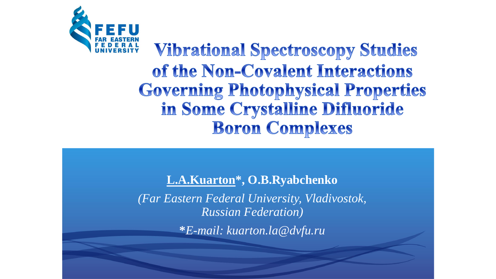

**Vibrational Spectroscopy Studies** of the Non-Covalent Interactions **Governing Photophysical Properties** in Some Crystalline Difluoride **Boron Complexes** 

**L.A.Kuarton\*, O.B.Ryabchenko**

*(Far Eastern Federal University, Vladivostok, Russian Federation)*

**\****E-mail: kuarton.la@dvfu.ru*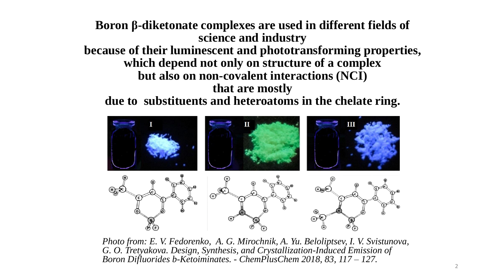**Boron β-diketonate complexes are used in different fields of science and industry because of their luminescent and phototransforming properties, which depend not only on structure of a complex but also on non-covalent interactions (NCI) that are mostly**

**due to substituents and heteroatoms in the chelate ring.**



*Photo from: E. V. Fedorenko, A. G. Mirochnik, A. Yu. Beloliptsev, I. V. Svistunova, G. O. Tretyakova. Design, Synthesis, and Crystallization-Induced Emission of Boron Difluorides b-Ketoiminates. - ChemPlusChem 2018, 83, 117 – 127.*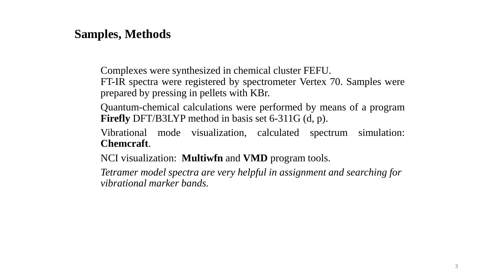## **Samples, Methods**

Complexes were synthesized in chemical cluster FEFU.

FT-IR spectra were registered by spectrometer Vertex 70. Samples were prepared by pressing in pellets with KBr.

Quantum-chemical calculations were performed by means of a program **Firefly** DFT/B3LYP method in basis set 6-311G (d, p).

Vibrational mode visualization, calculated spectrum simulation: **Chemcraft**.

NCI visualization: **Multiwfn** and **VMD** program tools.

*Tetramer model spectra are very helpful in assignment and searching for vibrational marker bands.*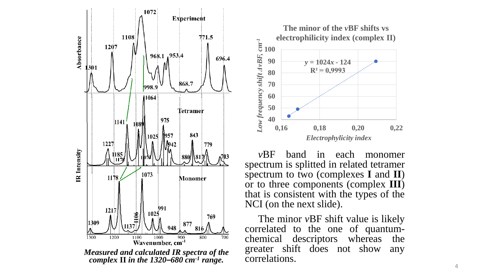

*Measured and calculated IR spectra of the complex* **II** *in the 1320–680 cm-1 range.*



*v*BF band in each monomer spectrum is splitted in related tetramer spectrum to two (complexes **I** and **II**) or to three components (complex **III**) that is consistent with the types of the NCI (on the next slide).

The minor *v*BF shift value is likely correlated to the one of quantumchemical descriptors whereas the greater shift does not show any correlations.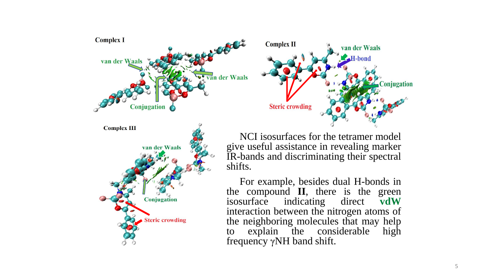